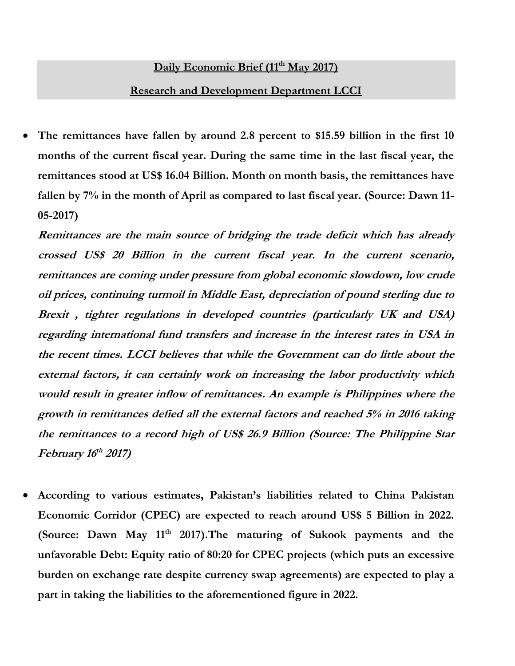## **Daily Economic Brief (11th May 2017)**

## **Research and Development Department LCCI**

 **The remittances have fallen by around 2.8 percent to \$15.59 billion in the first 10 months of the current fiscal year. During the same time in the last fiscal year, the remittances stood at US\$ 16.04 Billion. Month on month basis, the remittances have fallen by 7% in the month of April as compared to last fiscal year. (Source: Dawn 11- 05-2017)**

**Remittances are the main source of bridging the trade deficit which has already crossed US\$ 20 Billion in the current fiscal year. In the current scenario, remittances are coming under pressure from global economic slowdown, low crude oil prices, continuing turmoil in Middle East, depreciation of pound sterling due to Brexit , tighter regulations in developed countries (particularly UK and USA) regarding international fund transfers and increase in the interest rates in USA in the recent times. LCCI believes that while the Government can do little about the external factors, it can certainly work on increasing the labor productivity which would result in greater inflow of remittances. An example is Philippines where the growth in remittances defied all the external factors and reached 5% in 2016 taking the remittances to a record high of US\$ 26.9 Billion (Source: The Philippine Star February 16 th 2017)**

 **According to various estimates, Pakistan's liabilities related to China Pakistan Economic Corridor (CPEC) are expected to reach around US\$ 5 Billion in 2022. (Source: Dawn May 11 th 2017).The maturing of Sukook payments and the unfavorable Debt: Equity ratio of 80:20 for CPEC projects (which puts an excessive burden on exchange rate despite currency swap agreements) are expected to play a part in taking the liabilities to the aforementioned figure in 2022.**